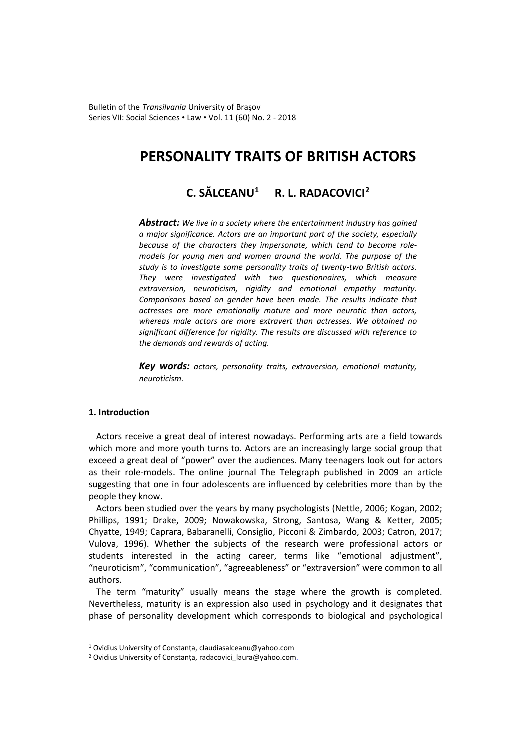Bulletin of the *Transilvania* University of Braşov Series VII: Social Sciences • Law • Vol. 11 (60) No. 2 - 2018

# **PERSONALITY TRAITS OF BRITISH ACTORS**

# **C. SĂLCEANU[1](#page-0-0) R. L. RADACOVICI[2](#page-0-1)**

*Abstract: We live in a society where the entertainment industry has gained a major significance. Actors are an important part of the society, especially because of the characters they impersonate, which tend to become rolemodels for young men and women around the world. The purpose of the study is to investigate some personality traits of twenty-two British actors. They were investigated with two questionnaires, which measure extraversion, neuroticism, rigidity and emotional empathy maturity. Comparisons based on gender have been made. The results indicate that actresses are more emotionally mature and more neurotic than actors, whereas male actors are more extravert than actresses. We obtained no significant difference for rigidity. The results are discussed with reference to the demands and rewards of acting.*

*Key words: actors, personality traits, extraversion, emotional maturity, neuroticism.*

## **1. Introduction**

 $\overline{a}$ 

Actors receive a great deal of interest nowadays. Performing arts are a field towards which more and more youth turns to. Actors are an increasingly large social group that exceed a great deal of "power" over the audiences. Many teenagers look out for actors as their role-models. The online journal The Telegraph published in 2009 an article suggesting that one in four adolescents are influenced by celebrities more than by the people they know.

Actors been studied over the years by many psychologists (Nettle, 2006; Kogan, 2002; Phillips, 1991; Drake, 2009; Nowakowska, Strong, Santosa, Wang & Ketter, 2005; Chyatte, 1949; Caprara, Babaranelli, Consiglio, Picconi & Zimbardo, 2003; Catron, 2017; Vulova, 1996). Whether the subjects of the research were professional actors or students interested in the acting career, terms like "emotional adjustment", "neuroticism", "communication", "agreeableness" or "extraversion" were common to all authors.

The term "maturity" usually means the stage where the growth is completed. Nevertheless, maturity is an expression also used in psychology and it designates that phase of personality development which corresponds to biological and psychological

<span id="page-0-0"></span><sup>1</sup> Ovidius University of Constanța, claudiasalceanu@yahoo.com

<span id="page-0-1"></span><sup>&</sup>lt;sup>2</sup> Ovidius University of Constanța, radacovici laura@yahoo.com.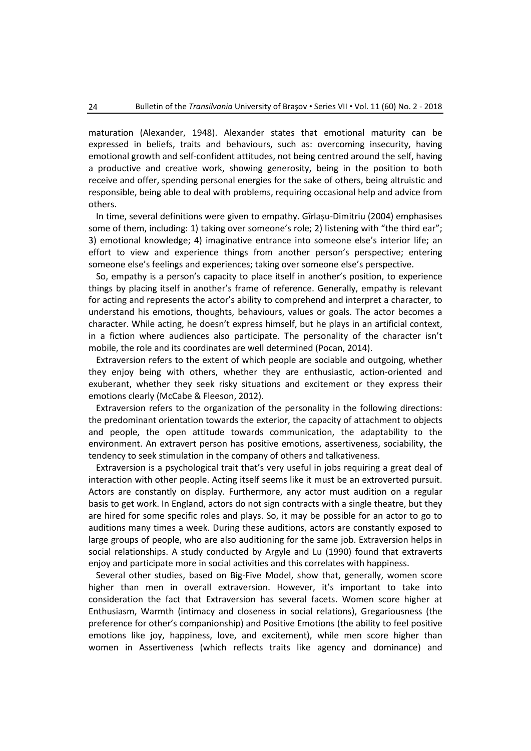maturation (Alexander, 1948). Alexander states that emotional maturity can be expressed in beliefs, traits and behaviours, such as: overcoming insecurity, having emotional growth and self-confident attitudes, not being centred around the self, having a productive and creative work, showing generosity, being in the position to both receive and offer, spending personal energies for the sake of others, being altruistic and responsible, being able to deal with problems, requiring occasional help and advice from others.

In time, several definitions were given to empathy. Gîrlașu-Dimitriu (2004) emphasises some of them, including: 1) taking over someone's role; 2) listening with "the third ear"; 3) emotional knowledge; 4) imaginative entrance into someone else's interior life; an effort to view and experience things from another person's perspective; entering someone else's feelings and experiences; taking over someone else's perspective.

So, empathy is a person's capacity to place itself in another's position, to experience things by placing itself in another's frame of reference. Generally, empathy is relevant for acting and represents the actor's ability to comprehend and interpret a character, to understand his emotions, thoughts, behaviours, values or goals. The actor becomes a character. While acting, he doesn't express himself, but he plays in an artificial context, in a fiction where audiences also participate. The personality of the character isn't mobile, the role and its coordinates are well determined (Pocan, 2014).

Extraversion refers to the extent of which people are sociable and outgoing, whether they enjoy being with others, whether they are enthusiastic, action-oriented and exuberant, whether they seek risky situations and excitement or they express their emotions clearly (McCabe & Fleeson, 2012).

Extraversion refers to the organization of the personality in the following directions: the predominant orientation towards the exterior, the capacity of attachment to objects and people, the open attitude towards communication, the adaptability to the environment. An extravert person has positive emotions, assertiveness, sociability, the tendency to seek stimulation in the company of others and talkativeness.

Extraversion is a psychological trait that's very useful in jobs requiring a great deal of interaction with other people. Acting itself seems like it must be an extroverted pursuit. Actors are constantly on display. Furthermore, any actor must audition on a regular basis to get work. In England, actors do not sign contracts with a single theatre, but they are hired for some specific roles and plays. So, it may be possible for an actor to go to auditions many times a week. During these auditions, actors are constantly exposed to large groups of people, who are also auditioning for the same job. Extraversion helps in social relationships. A study conducted by Argyle and Lu (1990) found that extraverts enjoy and participate more in social activities and this correlates with happiness.

Several other studies, based on Big-Five Model, show that, generally, women score higher than men in overall extraversion. However, it's important to take into consideration the fact that Extraversion has several facets. Women score higher at Enthusiasm, Warmth (intimacy and closeness in social relations), Gregariousness (the preference for other's companionship) and Positive Emotions (the ability to feel positive emotions like joy, happiness, love, and excitement), while men score higher than women in Assertiveness (which reflects traits like agency and dominance) and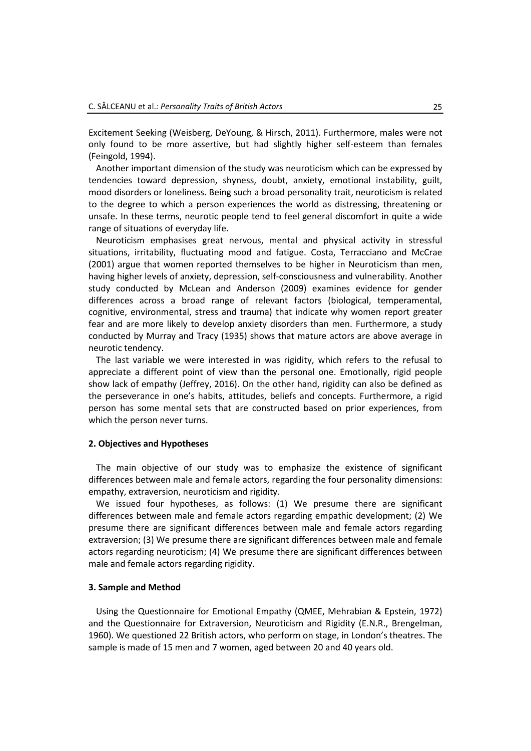Excitement Seeking (Weisberg, DeYoung, & Hirsch, 2011). Furthermore, males were not only found to be more assertive, but had slightly higher self-esteem than females (Feingold, 1994).

Another important dimension of the study was neuroticism which can be expressed by tendencies toward depression, shyness, doubt, anxiety, emotional instability, guilt, mood disorders or loneliness. Being such a broad personality trait, neuroticism is related to the degree to which a person experiences the world as distressing, threatening or unsafe. In these terms, neurotic people tend to feel general discomfort in quite a wide range of situations of everyday life.

Neuroticism emphasises great nervous, mental and physical activity in stressful situations, irritability, fluctuating mood and fatigue. Costa, Terracciano and McCrae (2001) argue that women reported themselves to be higher in Neuroticism than men, having higher levels of anxiety, depression, self-consciousness and vulnerability. Another study conducted by McLean and Anderson (2009) examines evidence for gender differences across a broad range of relevant factors (biological, temperamental, cognitive, environmental, stress and trauma) that indicate why women report greater fear and are more likely to develop anxiety disorders than men. Furthermore, a study conducted by Murray and Tracy (1935) shows that mature actors are above average in neurotic tendency.

The last variable we were interested in was rigidity, which refers to the refusal to appreciate a different point of view than the personal one. Emotionally, rigid people show lack of empathy (Jeffrey, 2016). On the other hand, rigidity can also be defined as the perseverance in one's habits, attitudes, beliefs and concepts. Furthermore, a rigid person has some mental sets that are constructed based on prior experiences, from which the person never turns.

# **2. Objectives and Hypotheses**

The main objective of our study was to emphasize the existence of significant differences between male and female actors, regarding the four personality dimensions: empathy, extraversion, neuroticism and rigidity.

We issued four hypotheses, as follows: (1) We presume there are significant differences between male and female actors regarding empathic development; (2) We presume there are significant differences between male and female actors regarding extraversion; (3) We presume there are significant differences between male and female actors regarding neuroticism; (4) We presume there are significant differences between male and female actors regarding rigidity.

#### **3. Sample and Method**

Using the Questionnaire for Emotional Empathy (QMEE, Mehrabian & Epstein, 1972) and the Questionnaire for Extraversion, Neuroticism and Rigidity (E.N.R., Brengelman, 1960). We questioned 22 British actors, who perform on stage, in London's theatres. The sample is made of 15 men and 7 women, aged between 20 and 40 years old.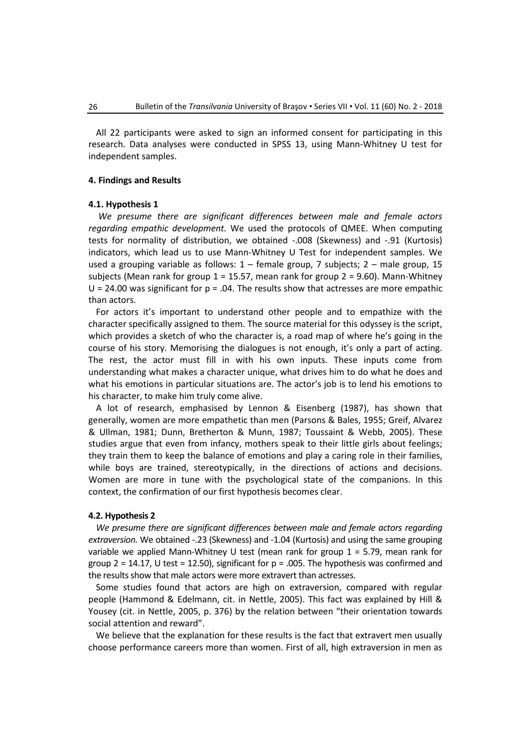All 22 participants were asked to sign an informed consent for participating in this research. Data analyses were conducted in SPSS 13, using Mann-Whitney U test for independent samples.

## **4. Findings and Results**

#### **4.1. Hypothesis 1**

*We presume there are significant differences between male and female actors regarding empathic development.* We used the protocols of QMEE. When computing tests for normality of distribution, we obtained -.008 (Skewness) and -.91 (Kurtosis) indicators, which lead us to use Mann-Whitney U Test for independent samples. We used a grouping variable as follows: 1 – female group, 7 subjects; 2 – male group, 15 subjects (Mean rank for group  $1 = 15.57$ , mean rank for group  $2 = 9.60$ ). Mann-Whitney  $U = 24.00$  was significant for  $p = .04$ . The results show that actresses are more empathic than actors.

For actors it's important to understand other people and to empathize with the character specifically assigned to them. The source material for this odyssey is the script, which provides a sketch of who the character is, a road map of where he's going in the course of his story. Memorising the dialogues is not enough, it's only a part of acting. The rest, the actor must fill in with his own inputs. These inputs come from understanding what makes a character unique, what drives him to do what he does and what his emotions in particular situations are. The actor's job is to lend his emotions to his character, to make him truly come alive.

A lot of research, emphasised by Lennon & Eisenberg (1987), has shown that generally, women are more empathetic than men (Parsons & Bales, 1955; Greif, Alvarez & Ullman, 1981; Dunn, Bretherton & Munn, 1987; Toussaint & Webb, 2005). These studies argue that even from infancy, mothers speak to their little girls about feelings; they train them to keep the balance of emotions and play a caring role in their families, while boys are trained, stereotypically, in the directions of actions and decisions. Women are more in tune with the psychological state of the companions. In this context, the confirmation of our first hypothesis becomes clear.

### **4.2. Hypothesis 2**

*We presume there are significant differences between male and female actors regarding extraversion.* We obtained -.23 (Skewness) and -1.04 (Kurtosis) and using the same grouping variable we applied Mann-Whitney U test (mean rank for group  $1 = 5.79$ , mean rank for group  $2 = 14.17$ , U test = 12.50), significant for  $p = .005$ . The hypothesis was confirmed and the results show that male actors were more extravert than actresses.

Some studies found that actors are high on extraversion, compared with regular people (Hammond & Edelmann, cit. in Nettle, 2005). This fact was explained by Hill & Yousey (cit. in Nettle, 2005, p. 376) by the relation between "their orientation towards social attention and reward".

We believe that the explanation for these results is the fact that extravert men usually choose performance careers more than women. First of all, high extraversion in men as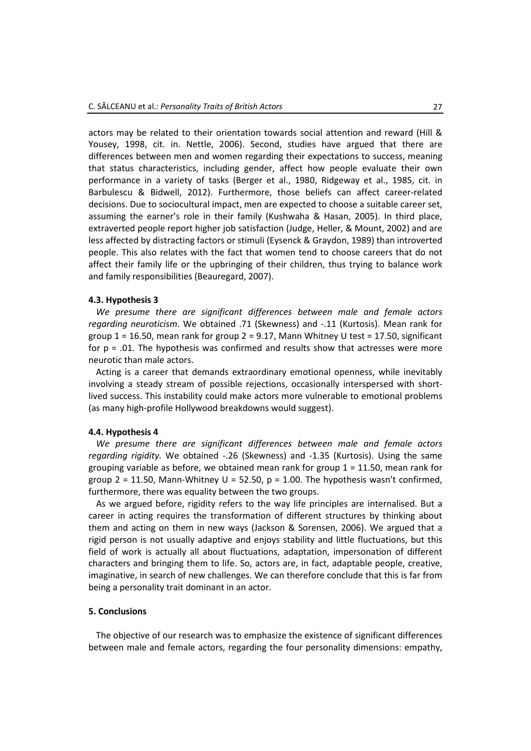actors may be related to their orientation towards social attention and reward (Hill & Yousey, 1998, cit. in. Nettle, 2006). Second, studies have argued that there are differences between men and women regarding their expectations to success, meaning that status characteristics, including gender, affect how people evaluate their own performance in a variety of tasks (Berger et al., 1980, Ridgeway et al., 1985, cit. in Barbulescu & Bidwell, 2012). Furthermore, those beliefs can affect career-related decisions. Due to sociocultural impact, men are expected to choose a suitable career set, assuming the earner's role in their family (Kushwaha & Hasan, 2005). In third place, extraverted people report higher job satisfaction (Judge, Heller, & Mount, 2002) and are less affected by distracting factors or stimuli (Eysenck & Graydon, 1989) than introverted people. This also relates with the fact that women tend to choose careers that do not affect their family life or the upbringing of their children, thus trying to balance work and family responsibilities (Beauregard, 2007).

# **4.3. Hypothesis 3**

*We presume there are significant differences between male and female actors regarding neuroticism*. We obtained .71 (Skewness) and -.11 (Kurtosis). Mean rank for group  $1 = 16.50$ , mean rank for group  $2 = 9.17$ , Mann Whitney U test = 17.50, significant for  $p = .01$ . The hypothesis was confirmed and results show that actresses were more neurotic than male actors.

Acting is a career that demands extraordinary emotional openness, while inevitably involving a steady stream of possible rejections, occasionally interspersed with shortlived success. This instability could make actors more vulnerable to emotional problems (as many high-profile Hollywood breakdowns would suggest).

#### **4.4. Hypothesis 4**

*We presume there are significant differences between male and female actors regarding rigidity.* We obtained -.26 (Skewness) and -1.35 (Kurtosis). Using the same grouping variable as before, we obtained mean rank for group 1 = 11.50, mean rank for group 2 = 11.50, Mann-Whitney U = 52.50,  $p = 1.00$ . The hypothesis wasn't confirmed, furthermore, there was equality between the two groups.

As we argued before, rigidity refers to the way life principles are internalised. But a career in acting requires the transformation of different structures by thinking about them and acting on them in new ways (Jackson & Sorensen, 2006). We argued that a rigid person is not usually adaptive and enjoys stability and little fluctuations, but this field of work is actually all about fluctuations, adaptation, impersonation of different characters and bringing them to life. So, actors are, in fact, adaptable people, creative, imaginative, in search of new challenges. We can therefore conclude that this is far from being a personality trait dominant in an actor.

# **5. Conclusions**

The objective of our research was to emphasize the existence of significant differences between male and female actors, regarding the four personality dimensions: empathy,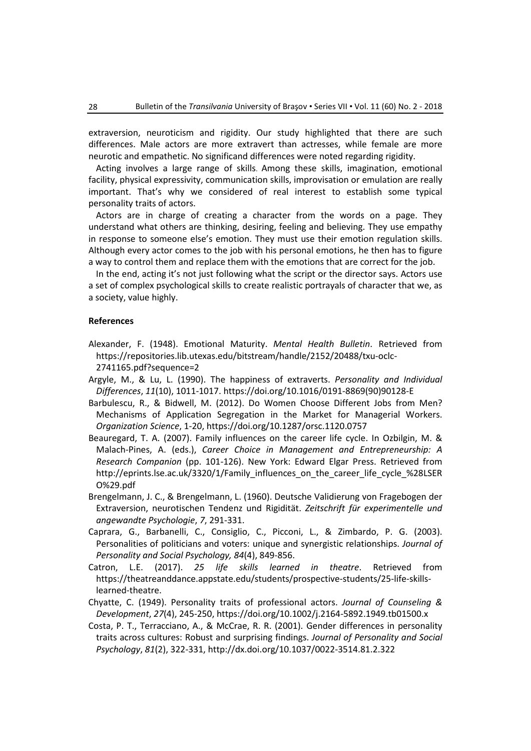extraversion, neuroticism and rigidity. Our study highlighted that there are such differences. Male actors are more extravert than actresses, while female are more neurotic and empathetic. No significand differences were noted regarding rigidity.

Acting involves a large range of skills. Among these skills, imagination, emotional facility, physical expressivity, communication skills, improvisation or emulation are really important. That's why we considered of real interest to establish some typical personality traits of actors.

Actors are in charge of creating a character from the words on a page. They understand what others are thinking, desiring, feeling and believing. They use empathy in response to someone else's emotion. They must use their emotion regulation skills. Although every actor comes to the job with his personal emotions, he then has to figure a way to control them and replace them with the emotions that are correct for the job.

In the end, acting it's not just following what the script or the director says. Actors use a set of complex psychological skills to create realistic portrayals of character that we, as a society, value highly.

### **References**

- Alexander, F. (1948). Emotional Maturity. *Mental Health Bulletin*. Retrieved from [https://repositories.lib.utexas.edu/bitstream/handle/2152/20488/txu-oclc-](https://repositories.lib.utexas.edu/bitstream/handle/2152/20488/txu-oclc-2741165.pdf?sequence=2)[2741165.pdf?sequence=2](https://repositories.lib.utexas.edu/bitstream/handle/2152/20488/txu-oclc-2741165.pdf?sequence=2)
- Argyle, M., & Lu, L. (1990). The happiness of extraverts. *Personality and Individual Differences*, *11*(10), 1011-1017. [https://doi.org/10.1016/0191-8869\(90\)90128-E](https://doi.org/10.1016/0191-8869(90)90128-E)
- Barbulescu, R., & Bidwell, M. (2012). Do Women Choose Different Jobs from Men? Mechanisms of Application Segregation in the Market for Managerial Workers. *Organization Science*, 1-20[, https://doi.org/10.1287/orsc.1120.0757](https://doi.org/10.1287/orsc.1120.0757)
- Beauregard, T. A. (2007). Family influences on the career life cycle. In Ozbilgin, M. & Malach-Pines, A. (eds.), *Career Choice in Management and Entrepreneurship: A Research Companion* (pp. 101-126). New York: Edward Elgar Press. Retrieved from [http://eprints.lse.ac.uk/3320/1/Family\\_influences\\_on\\_the\\_career\\_life\\_cycle\\_%28LSE](http://eprints.lse.ac.uk/3320/1/Family_influences_on_the_career_life_cycle_%28LSERO%29.pdf)R [O%29.pdf](http://eprints.lse.ac.uk/3320/1/Family_influences_on_the_career_life_cycle_%28LSERO%29.pdf)
- Brengelmann, J. C., & Brengelmann, L. (1960). Deutsche Validierung von Fragebogen der Extraversion, neurotischen Tendenz und Rigidität. *Zeitschrift für experimentelle und angewandte Psychologie*, *7*, 291-331.
- Caprara, G., Barbanelli, C., Consiglio, C., Picconi, L., & Zimbardo, P. G. (2003). Personalities of politicians and voters: unique and synergistic relationships. *Journal of Personality and Social Psychology, 84*(4), 849-856.
- Catron, L.E. (2017). *25 life skills learned in theatre*. Retrieved from [https://theatreanddance.appstate.edu/students/prospective-students/25-life-skills](https://theatreanddance.appstate.edu/students/prospective-students/25-life-skills-learned-theatre)[learned-theatre.](https://theatreanddance.appstate.edu/students/prospective-students/25-life-skills-learned-theatre)
- Chyatte, C. (1949). Personality traits of professional actors. *Journal of Counseling & Development*, *27*(4), 245-250,<https://doi.org/10.1002/j.2164-5892.1949.tb01500.x>
- Costa, P. T., Terracciano, A., & McCrae, R. R. (2001). Gender differences in personality traits across cultures: Robust and surprising findings. *Journal of Personality and Social Psychology*, *81*(2), 322-331, [http://dx.doi.org/10.1037/0022-3514.81.2.322](http://psycnet.apa.org/doi/10.1037/0022-3514.81.2.322)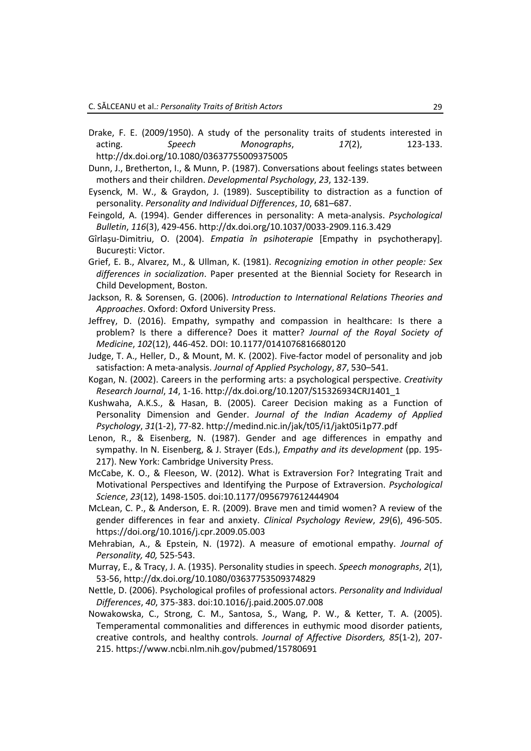- Drake, F. E. (2009/1950). A study of the personality traits of students interested in acting. *Speech Monographs*, *17*(2), 123-133. <http://dx.doi.org/10.1080/03637755009375005>
- Dunn, J., Bretherton, I., & Munn, P. (1987). Conversations about feelings states between mothers and their children. *Developmental Psychology*, *23*, 132-139.
- Eysenck, M. W., & Graydon, J. (1989). Susceptibility to distraction as a function of personality. *Personality and Individual Differences*, *10*, 681–687.
- Feingold, A. (1994). Gender differences in personality: A meta-analysis. *Psychological Bulletin*, *116*(3), 429-456. [http://dx.doi.org/10.1037/0033-2909.116.3.429](http://psycnet.apa.org/doi/10.1037/0033-2909.116.3.429)
- Gîrlașu-Dimitriu, O. (2004). *Empatia în psihoterapie* [Empathy in psychotherapy]. București: Victor.
- Grief, E. B., Alvarez, M., & Ullman, K. (1981). *Recognizing emotion in other people: Sex differences in socialization*. Paper presented at the Biennial Society for Research in Child Development, Boston.
- Jackson, R. & Sorensen, G. (2006). *Introduction to International Relations Theories and Approaches*. Oxford: Oxford University Press.
- Jeffrey, D. (2016). Empathy, sympathy and compassion in healthcare: Is there a problem? Is there a difference? Does it matter? *Journal of the Royal Society of Medicine*, *102*(12), 446-452. DOI: 10.1177/0141076816680120
- Judge, T. A., Heller, D., & Mount, M. K. (2002). Five-factor model of personality and job satisfaction: A meta-analysis. *Journal of Applied Psychology*, *87*, 530–541.
- Kogan, N. (2002). Careers in the performing arts: a psychological perspective. *Creativity Research Journal*, *14*, 1-16. [http://dx.doi.org/10.1207/S15](http://dx.doi.org/10.1207/S15326934CRJ1401_1)326934CRJ1401\_1
- Kushwaha, A.K.S., & Hasan, B. (2005). Career Decision making as a Function of Personality Dimension and Gender. *Journal of the Indian Academy of Applied Psychology*, *31*(1-2), 77-82. <http://medind.nic.in/jak/t05/i1/jakt05i1p77.pdf>
- Lenon, R., & Eisenberg, N. (1987). Gender and age differences in empathy and sympathy. In N. Eisenberg, & J. Strayer (Eds.), *Empathy and its development* (pp. 195- 217). New York: Cambridge University Press.
- McCabe, K. O., & Fleeson, W. (2012). What is Extraversion For? Integrating Trait and Motivational Perspectives and Identifying the Purpose of Extraversion. *Psychological Science*, *23*(12), 1498-1505. doi[:10.1177/0956797612444904](https://dx.doi.org/10.1177%2F0956797612444904)
- McLean, C. P., & Anderson, E. R. (2009). Brave men and timid women? A review of the gender differences in fear and anxiety. *Clinical Psychology Review*, *29*(6), 496-505. <https://doi.org/10.1016/j.cpr.2009.05.003>
- Mehrabian, A., & Epstein, N. (1972). A measure of emotional empathy. *Journal of Personality, 40,* 525-543.
- Murray, E., & Tracy, J. A. (1935). Personality studies in speech. *Speech monographs*, *2*(1), 53-56,<http://dx.doi.org/10.1080/03637753509374829>
- Nettle, D. (2006). Psychological profiles of professional actors. *Personality and Individual Differences*, *40*, 375-383. doi:10.1016/j.paid.2005.07.008
- Nowakowska, C., Strong, C. M., Santosa, S., Wang, P. W., & Ketter, T. A. (2005). Temperamental commonalities and differences in euthymic mood disorder patients, creative controls, and healthy controls. *Journal of Affective Disorders, 85*(1-2), 207- 215. <https://www.ncbi.nlm.nih.gov/pubmed/15780691>